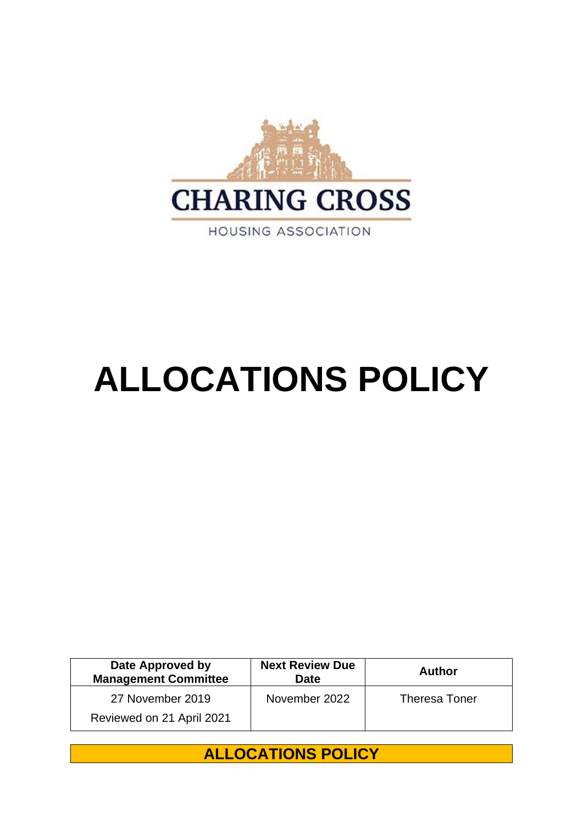

# **ALLOCATIONS POLICY**

| Date Approved by<br><b>Management Committee</b> | <b>Next Review Due</b><br><b>Date</b> | Author               |
|-------------------------------------------------|---------------------------------------|----------------------|
| 27 November 2019                                | November 2022                         | <b>Theresa Toner</b> |
| Reviewed on 21 April 2021                       |                                       |                      |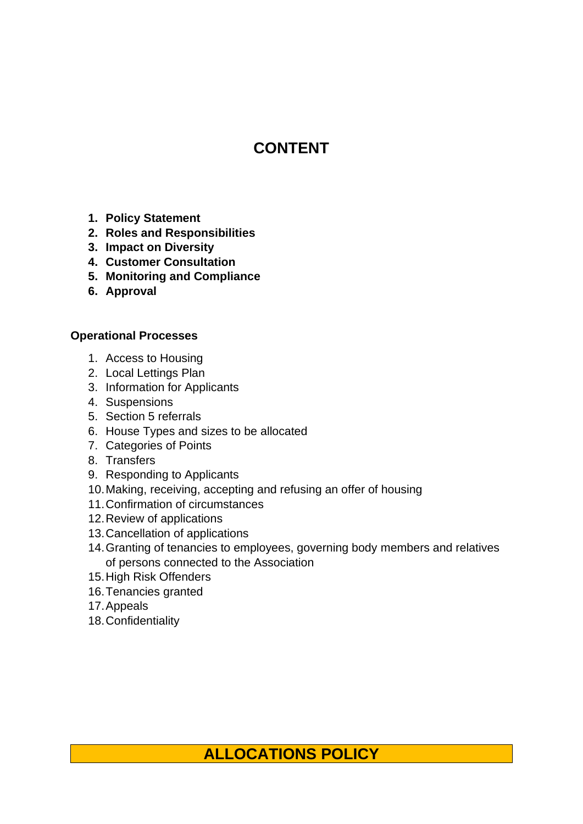# **CONTENT**

- **1. Policy Statement**
- **2. Roles and Responsibilities**
- **3. Impact on Diversity**
- **4. Customer Consultation**
- **5. Monitoring and Compliance**
- **6. Approval**

## **Operational Processes**

- 1. Access to Housing
- 2. Local Lettings Plan
- 3. Information for Applicants
- 4. Suspensions
- 5. Section 5 referrals
- 6. House Types and sizes to be allocated
- 7. Categories of Points
- 8. Transfers
- 9. Responding to Applicants
- 10.Making, receiving, accepting and refusing an offer of housing
- 11.Confirmation of circumstances
- 12.Review of applications
- 13.Cancellation of applications
- 14.Granting of tenancies to employees, governing body members and relatives of persons connected to the Association
- 15.High Risk Offenders
- 16.Tenancies granted
- 17.Appeals
- 18.Confidentiality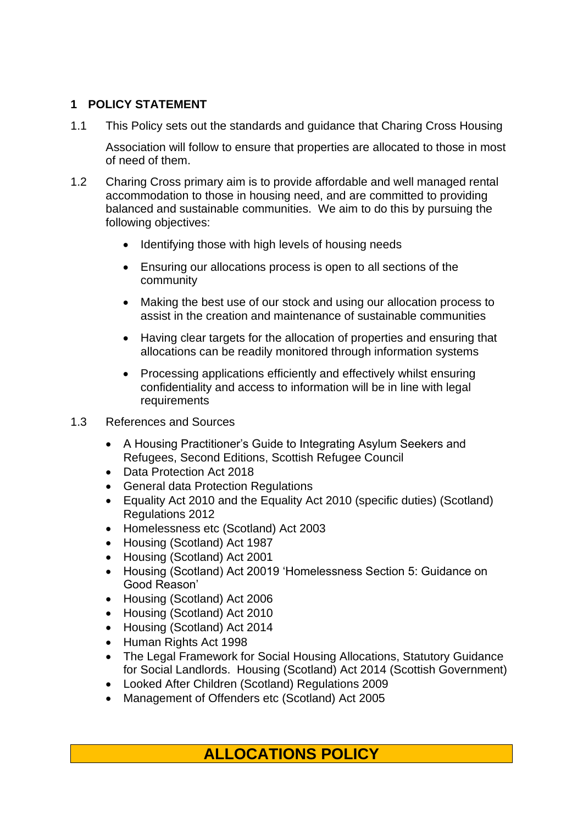#### **1 POLICY STATEMENT**

1.1 This Policy sets out the standards and guidance that Charing Cross Housing

Association will follow to ensure that properties are allocated to those in most of need of them.

- 1.2 Charing Cross primary aim is to provide affordable and well managed rental accommodation to those in housing need, and are committed to providing balanced and sustainable communities. We aim to do this by pursuing the following objectives:
	- Identifying those with high levels of housing needs
	- Ensuring our allocations process is open to all sections of the community
	- Making the best use of our stock and using our allocation process to assist in the creation and maintenance of sustainable communities
	- Having clear targets for the allocation of properties and ensuring that allocations can be readily monitored through information systems
	- Processing applications efficiently and effectively whilst ensuring confidentiality and access to information will be in line with legal requirements
- 1.3 References and Sources
	- A Housing Practitioner's Guide to Integrating Asylum Seekers and Refugees, Second Editions, Scottish Refugee Council
	- Data Protection Act 2018
	- General data Protection Regulations
	- Equality Act 2010 and the Equality Act 2010 (specific duties) (Scotland) Regulations 2012
	- Homelessness etc (Scotland) Act 2003
	- Housing (Scotland) Act 1987
	- Housing (Scotland) Act 2001
	- Housing (Scotland) Act 20019 'Homelessness Section 5: Guidance on Good Reason'
	- Housing (Scotland) Act 2006
	- Housing (Scotland) Act 2010
	- Housing (Scotland) Act 2014
	- Human Rights Act 1998
	- The Legal Framework for Social Housing Allocations, Statutory Guidance for Social Landlords. Housing (Scotland) Act 2014 (Scottish Government)
	- Looked After Children (Scotland) Regulations 2009
	- Management of Offenders etc (Scotland) Act 2005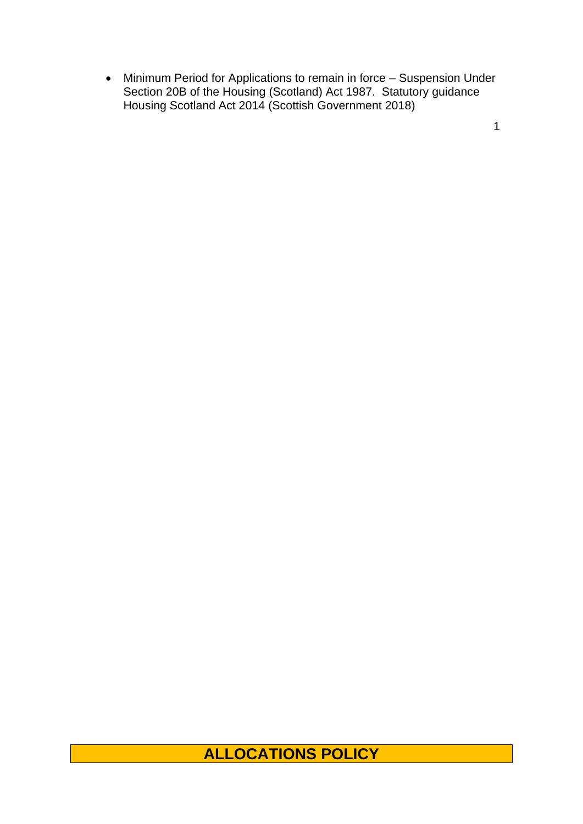• Minimum Period for Applications to remain in force – Suspension Under Section 20B of the Housing (Scotland) Act 1987. Statutory guidance Housing Scotland Act 2014 (Scottish Government 2018)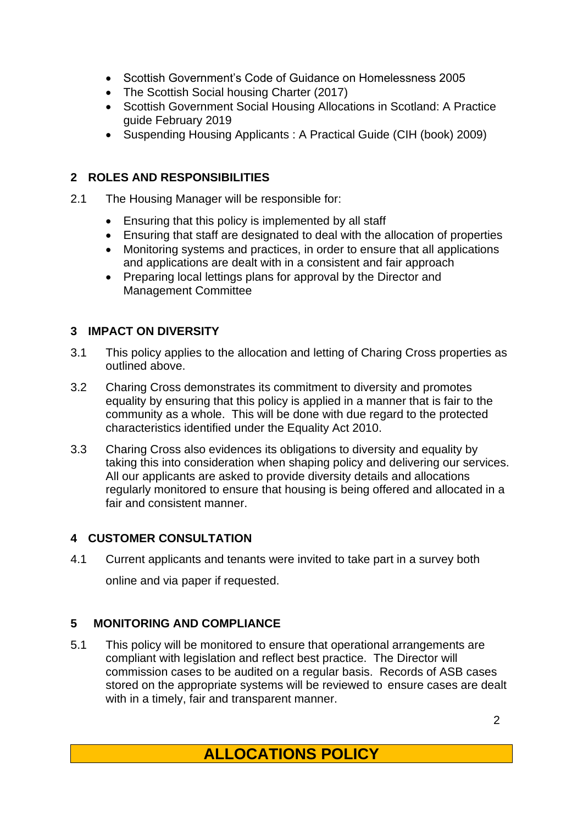- Scottish Government's Code of Guidance on Homelessness 2005
- The Scottish Social housing Charter (2017)
- Scottish Government Social Housing Allocations in Scotland: A Practice guide February 2019
- Suspending Housing Applicants : A Practical Guide (CIH (book) 2009)

## **2 ROLES AND RESPONSIBILITIES**

- 2.1 The Housing Manager will be responsible for:
	- Ensuring that this policy is implemented by all staff
	- Ensuring that staff are designated to deal with the allocation of properties
	- Monitoring systems and practices, in order to ensure that all applications and applications are dealt with in a consistent and fair approach
	- Preparing local lettings plans for approval by the Director and Management Committee

## **3 IMPACT ON DIVERSITY**

- 3.1 This policy applies to the allocation and letting of Charing Cross properties as outlined above.
- 3.2 Charing Cross demonstrates its commitment to diversity and promotes equality by ensuring that this policy is applied in a manner that is fair to the community as a whole. This will be done with due regard to the protected characteristics identified under the Equality Act 2010.
- 3.3 Charing Cross also evidences its obligations to diversity and equality by taking this into consideration when shaping policy and delivering our services. All our applicants are asked to provide diversity details and allocations regularly monitored to ensure that housing is being offered and allocated in a fair and consistent manner.

# **4 CUSTOMER CONSULTATION**

4.1 Current applicants and tenants were invited to take part in a survey both online and via paper if requested.

# **5 MONITORING AND COMPLIANCE**

5.1 This policy will be monitored to ensure that operational arrangements are compliant with legislation and reflect best practice. The Director will commission cases to be audited on a regular basis. Records of ASB cases stored on the appropriate systems will be reviewed to ensure cases are dealt with in a timely, fair and transparent manner.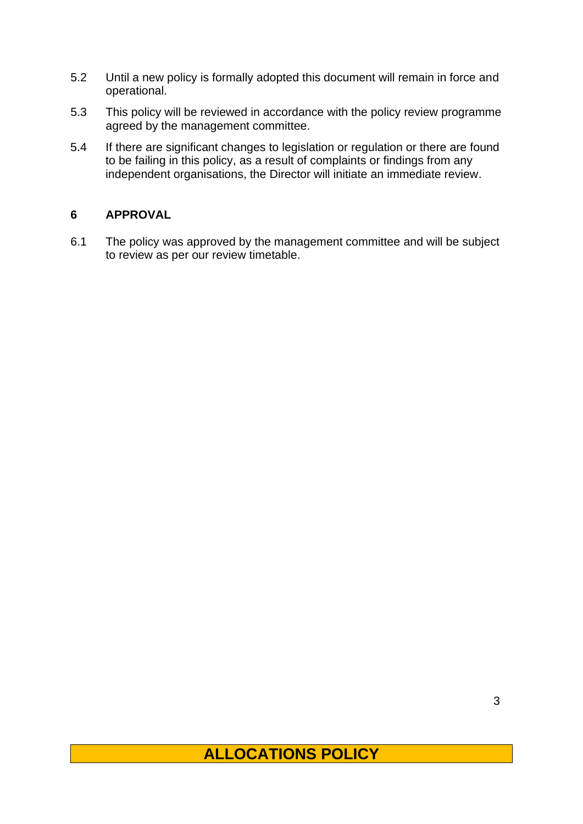- 5.2 Until a new policy is formally adopted this document will remain in force and operational.
- 5.3 This policy will be reviewed in accordance with the policy review programme agreed by the management committee.
- 5.4 If there are significant changes to legislation or regulation or there are found to be failing in this policy, as a result of complaints or findings from any independent organisations, the Director will initiate an immediate review.

## **6 APPROVAL**

6.1 The policy was approved by the management committee and will be subject to review as per our review timetable.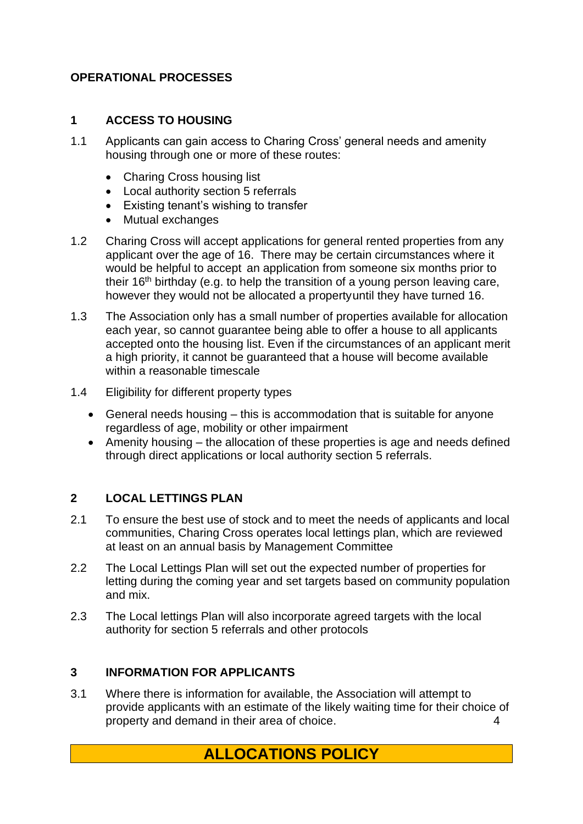#### **OPERATIONAL PROCESSES**

#### **1 ACCESS TO HOUSING**

- 1.1 Applicants can gain access to Charing Cross' general needs and amenity housing through one or more of these routes:
	- Charing Cross housing list
	- Local authority section 5 referrals
	- Existing tenant's wishing to transfer
	- Mutual exchanges
- 1.2 Charing Cross will accept applications for general rented properties from any applicant over the age of 16. There may be certain circumstances where it would be helpful to accept an application from someone six months prior to their  $16<sup>th</sup>$  birthday (e.g. to help the transition of a young person leaving care, however they would not be allocated a propertyuntil they have turned 16.
- 1.3 The Association only has a small number of properties available for allocation each year, so cannot guarantee being able to offer a house to all applicants accepted onto the housing list. Even if the circumstances of an applicant merit a high priority, it cannot be guaranteed that a house will become available within a reasonable timescale
- 1.4 Eligibility for different property types
	- General needs housing this is accommodation that is suitable for anyone regardless of age, mobility or other impairment
	- Amenity housing the allocation of these properties is age and needs defined through direct applications or local authority section 5 referrals.

#### **2 LOCAL LETTINGS PLAN**

- 2.1 To ensure the best use of stock and to meet the needs of applicants and local communities, Charing Cross operates local lettings plan, which are reviewed at least on an annual basis by Management Committee
- 2.2 The Local Lettings Plan will set out the expected number of properties for letting during the coming year and set targets based on community population and mix.
- 2.3 The Local lettings Plan will also incorporate agreed targets with the local authority for section 5 referrals and other protocols

#### **3 INFORMATION FOR APPLICANTS**

3.1 Where there is information for available, the Association will attempt to provide applicants with an estimate of the likely waiting time for their choice of property and demand in their area of choice. 4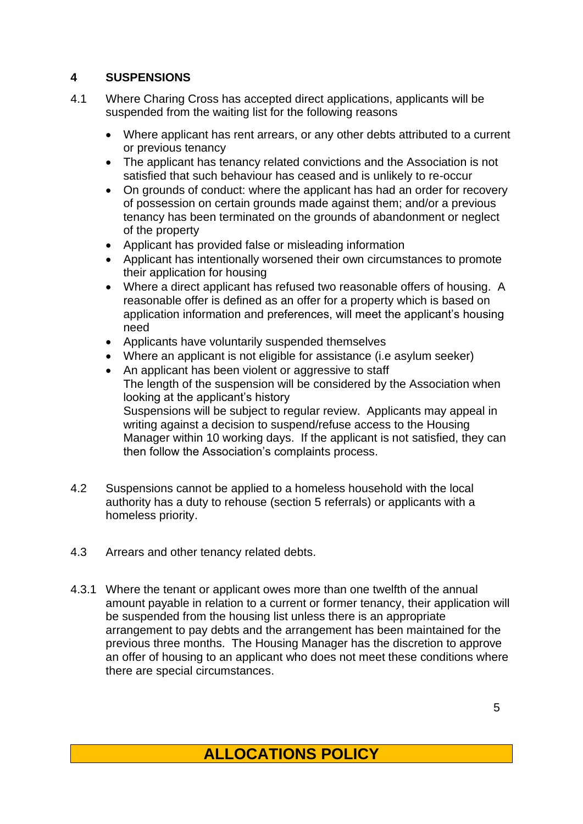# **4 SUSPENSIONS**

- 4.1 Where Charing Cross has accepted direct applications, applicants will be suspended from the waiting list for the following reasons
	- Where applicant has rent arrears, or any other debts attributed to a current or previous tenancy
	- The applicant has tenancy related convictions and the Association is not satisfied that such behaviour has ceased and is unlikely to re-occur
	- On grounds of conduct: where the applicant has had an order for recovery of possession on certain grounds made against them; and/or a previous tenancy has been terminated on the grounds of abandonment or neglect of the property
	- Applicant has provided false or misleading information
	- Applicant has intentionally worsened their own circumstances to promote their application for housing
	- Where a direct applicant has refused two reasonable offers of housing. A reasonable offer is defined as an offer for a property which is based on application information and preferences, will meet the applicant's housing need
	- Applicants have voluntarily suspended themselves
	- Where an applicant is not eligible for assistance (i.e asylum seeker)
	- An applicant has been violent or aggressive to staff The length of the suspension will be considered by the Association when looking at the applicant's history Suspensions will be subject to regular review. Applicants may appeal in writing against a decision to suspend/refuse access to the Housing Manager within 10 working days. If the applicant is not satisfied, they can then follow the Association's complaints process.
- 4.2 Suspensions cannot be applied to a homeless household with the local authority has a duty to rehouse (section 5 referrals) or applicants with a homeless priority.
- 4.3 Arrears and other tenancy related debts.
- 4.3.1 Where the tenant or applicant owes more than one twelfth of the annual amount payable in relation to a current or former tenancy, their application will be suspended from the housing list unless there is an appropriate arrangement to pay debts and the arrangement has been maintained for the previous three months. The Housing Manager has the discretion to approve an offer of housing to an applicant who does not meet these conditions where there are special circumstances.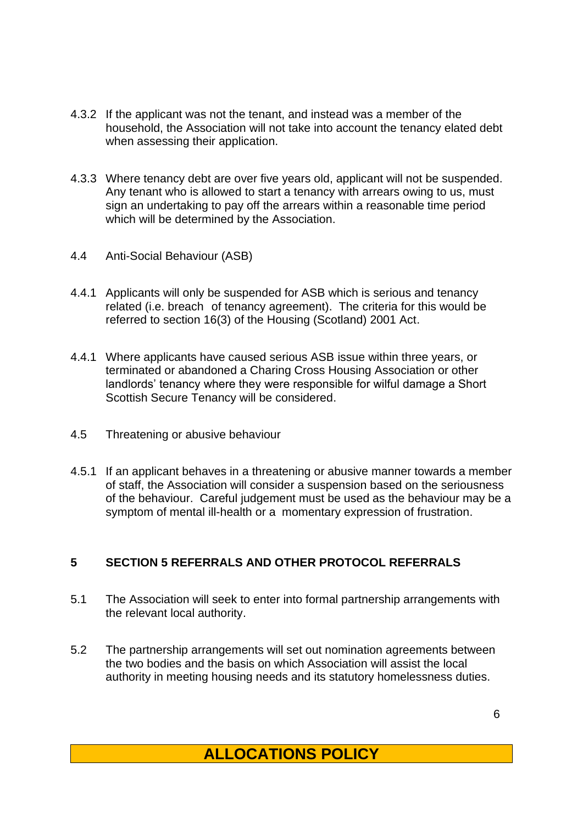- 4.3.2 If the applicant was not the tenant, and instead was a member of the household, the Association will not take into account the tenancy elated debt when assessing their application.
- 4.3.3 Where tenancy debt are over five years old, applicant will not be suspended. Any tenant who is allowed to start a tenancy with arrears owing to us, must sign an undertaking to pay off the arrears within a reasonable time period which will be determined by the Association.
- 4.4 Anti-Social Behaviour (ASB)
- 4.4.1 Applicants will only be suspended for ASB which is serious and tenancy related (i.e. breach of tenancy agreement). The criteria for this would be referred to section 16(3) of the Housing (Scotland) 2001 Act.
- 4.4.1 Where applicants have caused serious ASB issue within three years, or terminated or abandoned a Charing Cross Housing Association or other landlords' tenancy where they were responsible for wilful damage a Short Scottish Secure Tenancy will be considered.
- 4.5 Threatening or abusive behaviour
- 4.5.1 If an applicant behaves in a threatening or abusive manner towards a member of staff, the Association will consider a suspension based on the seriousness of the behaviour. Careful judgement must be used as the behaviour may be a symptom of mental ill-health or a momentary expression of frustration.

# **5 SECTION 5 REFERRALS AND OTHER PROTOCOL REFERRALS**

- 5.1 The Association will seek to enter into formal partnership arrangements with the relevant local authority.
- 5.2 The partnership arrangements will set out nomination agreements between the two bodies and the basis on which Association will assist the local authority in meeting housing needs and its statutory homelessness duties.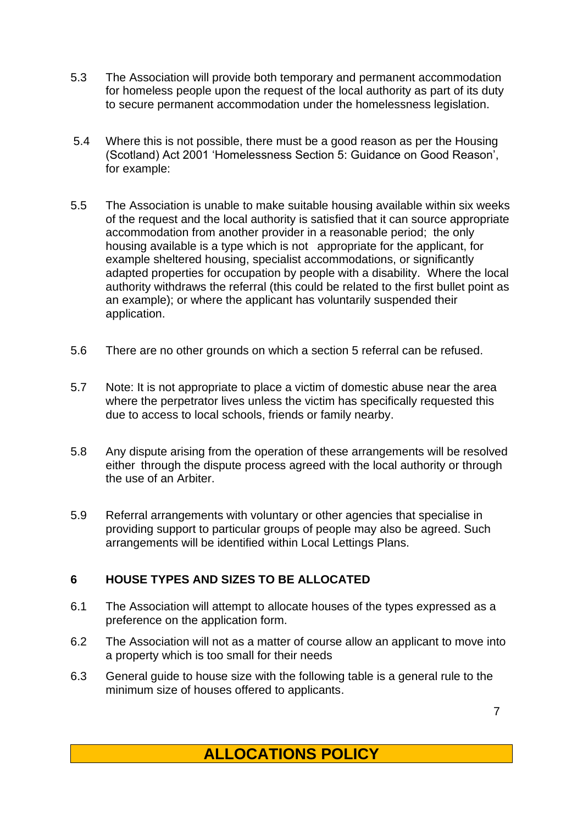- 5.3 The Association will provide both temporary and permanent accommodation for homeless people upon the request of the local authority as part of its duty to secure permanent accommodation under the homelessness legislation.
- 5.4 Where this is not possible, there must be a good reason as per the Housing (Scotland) Act 2001 'Homelessness Section 5: Guidance on Good Reason', for example:
- 5.5 The Association is unable to make suitable housing available within six weeks of the request and the local authority is satisfied that it can source appropriate accommodation from another provider in a reasonable period; the only housing available is a type which is not appropriate for the applicant, for example sheltered housing, specialist accommodations, or significantly adapted properties for occupation by people with a disability. Where the local authority withdraws the referral (this could be related to the first bullet point as an example); or where the applicant has voluntarily suspended their application.
- 5.6 There are no other grounds on which a section 5 referral can be refused.
- 5.7 Note: It is not appropriate to place a victim of domestic abuse near the area where the perpetrator lives unless the victim has specifically requested this due to access to local schools, friends or family nearby.
- 5.8 Any dispute arising from the operation of these arrangements will be resolved either through the dispute process agreed with the local authority or through the use of an Arbiter.
- 5.9 Referral arrangements with voluntary or other agencies that specialise in providing support to particular groups of people may also be agreed. Such arrangements will be identified within Local Lettings Plans.

# **6 HOUSE TYPES AND SIZES TO BE ALLOCATED**

- 6.1 The Association will attempt to allocate houses of the types expressed as a preference on the application form.
- 6.2 The Association will not as a matter of course allow an applicant to move into a property which is too small for their needs
- 6.3 General guide to house size with the following table is a general rule to the minimum size of houses offered to applicants.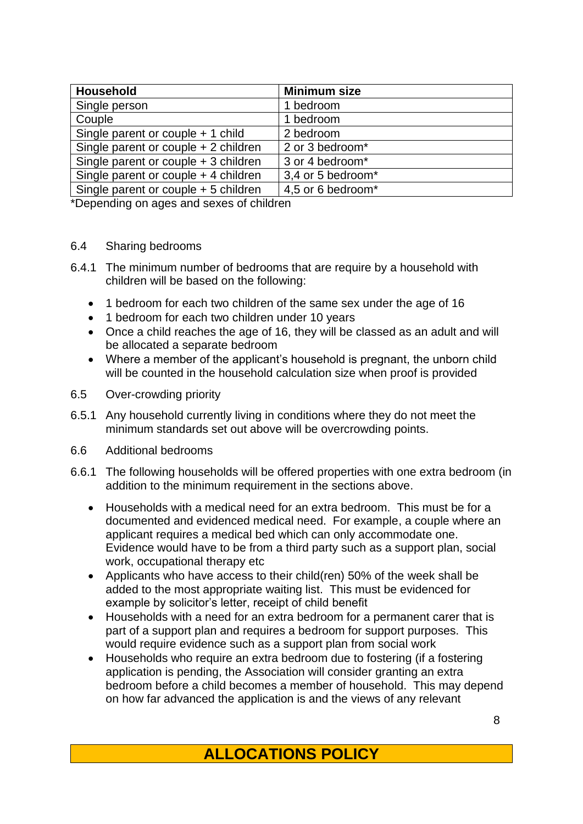| <b>Household</b>                       | <b>Minimum size</b> |
|----------------------------------------|---------------------|
| Single person                          | 1 bedroom           |
| Couple                                 | 1 bedroom           |
| Single parent or couple $+$ 1 child    | 2 bedroom           |
| Single parent or couple + 2 children   | 2 or 3 bedroom*     |
| Single parent or couple $+3$ children  | 3 or 4 bedroom*     |
| Single parent or couple $+$ 4 children | 3,4 or 5 bedroom*   |
| Single parent or couple + 5 children   | 4,5 or 6 bedroom*   |

\*Depending on ages and sexes of children

#### 6.4 Sharing bedrooms

- 6.4.1 The minimum number of bedrooms that are require by a household with children will be based on the following:
	- 1 bedroom for each two children of the same sex under the age of 16
	- 1 bedroom for each two children under 10 years
	- Once a child reaches the age of 16, they will be classed as an adult and will be allocated a separate bedroom
	- Where a member of the applicant's household is pregnant, the unborn child will be counted in the household calculation size when proof is provided
- 6.5 Over-crowding priority
- 6.5.1 Any household currently living in conditions where they do not meet the minimum standards set out above will be overcrowding points.
- 6.6 Additional bedrooms
- 6.6.1 The following households will be offered properties with one extra bedroom (in addition to the minimum requirement in the sections above.
	- Households with a medical need for an extra bedroom. This must be for a documented and evidenced medical need. For example, a couple where an applicant requires a medical bed which can only accommodate one. Evidence would have to be from a third party such as a support plan, social work, occupational therapy etc
	- Applicants who have access to their child(ren) 50% of the week shall be added to the most appropriate waiting list. This must be evidenced for example by solicitor's letter, receipt of child benefit
	- Households with a need for an extra bedroom for a permanent carer that is part of a support plan and requires a bedroom for support purposes. This would require evidence such as a support plan from social work
	- Households who require an extra bedroom due to fostering (if a fostering application is pending, the Association will consider granting an extra bedroom before a child becomes a member of household. This may depend on how far advanced the application is and the views of any relevant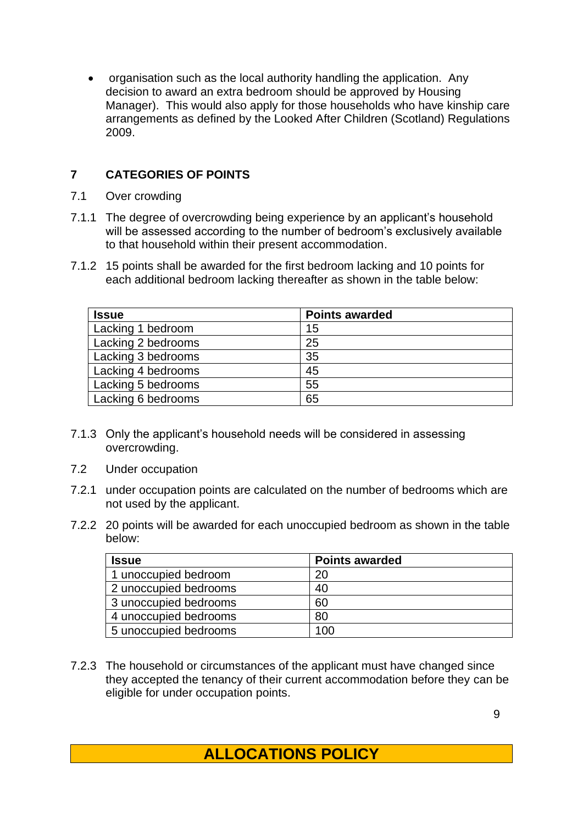• organisation such as the local authority handling the application. Any decision to award an extra bedroom should be approved by Housing Manager). This would also apply for those households who have kinship care arrangements as defined by the Looked After Children (Scotland) Regulations 2009.

## **7 CATEGORIES OF POINTS**

- 7.1 Over crowding
- 7.1.1 The degree of overcrowding being experience by an applicant's household will be assessed according to the number of bedroom's exclusively available to that household within their present accommodation.
- 7.1.2 15 points shall be awarded for the first bedroom lacking and 10 points for each additional bedroom lacking thereafter as shown in the table below:

| <b>Issue</b>       | <b>Points awarded</b> |
|--------------------|-----------------------|
| Lacking 1 bedroom  | 15                    |
| Lacking 2 bedrooms | 25                    |
| Lacking 3 bedrooms | 35                    |
| Lacking 4 bedrooms | 45                    |
| Lacking 5 bedrooms | 55                    |
| Lacking 6 bedrooms | 65                    |

- 7.1.3 Only the applicant's household needs will be considered in assessing overcrowding.
- 7.2 Under occupation
- 7.2.1 under occupation points are calculated on the number of bedrooms which are not used by the applicant.
- 7.2.2 20 points will be awarded for each unoccupied bedroom as shown in the table below:

| <b>Issue</b>          | <b>Points awarded</b> |
|-----------------------|-----------------------|
| 1 unoccupied bedroom  | 20                    |
| 2 unoccupied bedrooms | 40                    |
| 3 unoccupied bedrooms | 60                    |
| 4 unoccupied bedrooms | 80                    |
| 5 unoccupied bedrooms | 100                   |

7.2.3 The household or circumstances of the applicant must have changed since they accepted the tenancy of their current accommodation before they can be eligible for under occupation points.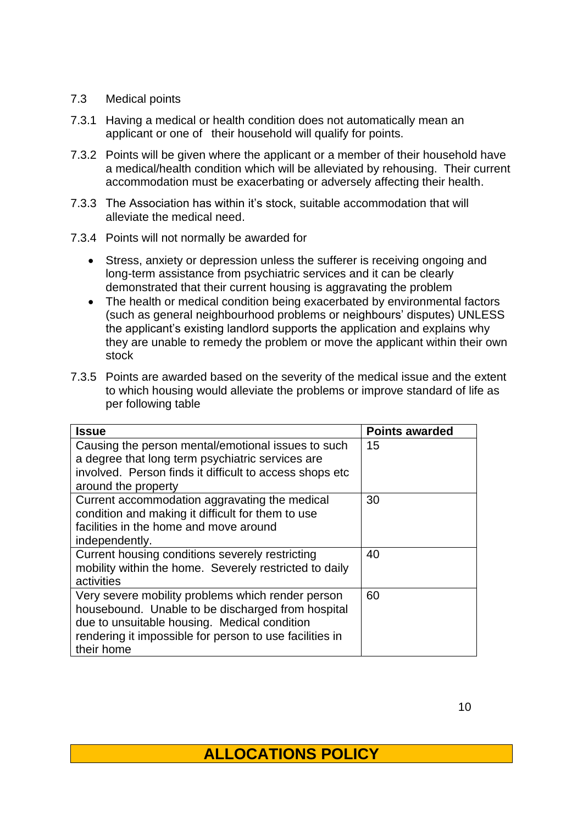#### 7.3 Medical points

- 7.3.1 Having a medical or health condition does not automatically mean an applicant or one of their household will qualify for points.
- 7.3.2 Points will be given where the applicant or a member of their household have a medical/health condition which will be alleviated by rehousing. Their current accommodation must be exacerbating or adversely affecting their health.
- 7.3.3 The Association has within it's stock, suitable accommodation that will alleviate the medical need.
- 7.3.4 Points will not normally be awarded for
	- Stress, anxiety or depression unless the sufferer is receiving ongoing and long-term assistance from psychiatric services and it can be clearly demonstrated that their current housing is aggravating the problem
	- The health or medical condition being exacerbated by environmental factors (such as general neighbourhood problems or neighbours' disputes) UNLESS the applicant's existing landlord supports the application and explains why they are unable to remedy the problem or move the applicant within their own stock
- 7.3.5 Points are awarded based on the severity of the medical issue and the extent to which housing would alleviate the problems or improve standard of life as per following table

| <b>Issue</b>                                            | <b>Points awarded</b> |
|---------------------------------------------------------|-----------------------|
| Causing the person mental/emotional issues to such      | 15                    |
| a degree that long term psychiatric services are        |                       |
| involved. Person finds it difficult to access shops etc |                       |
| around the property                                     |                       |
| Current accommodation aggravating the medical           | 30                    |
| condition and making it difficult for them to use       |                       |
| facilities in the home and move around                  |                       |
| independently.                                          |                       |
| Current housing conditions severely restricting         | 40                    |
| mobility within the home. Severely restricted to daily  |                       |
| activities                                              |                       |
| Very severe mobility problems which render person       | 60                    |
| housebound. Unable to be discharged from hospital       |                       |
| due to unsuitable housing. Medical condition            |                       |
| rendering it impossible for person to use facilities in |                       |
| their home                                              |                       |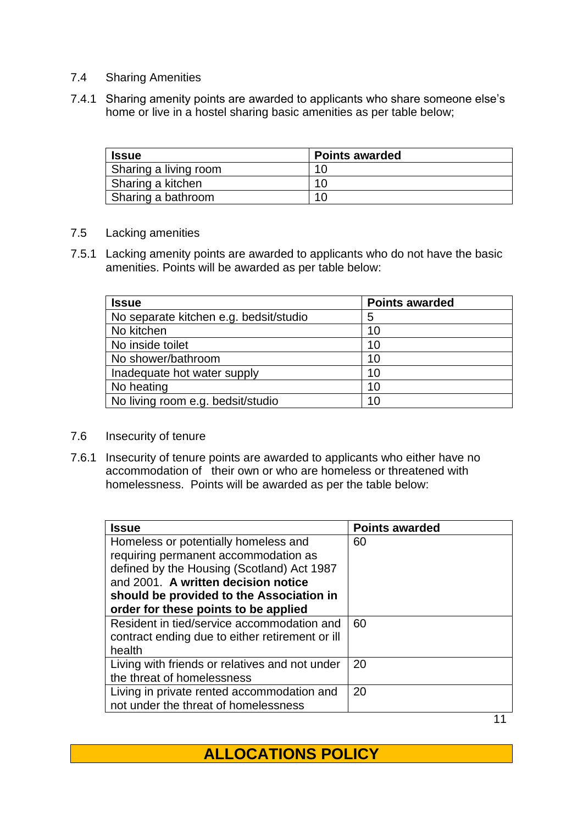- 7.4 Sharing Amenities
- 7.4.1 Sharing amenity points are awarded to applicants who share someone else's home or live in a hostel sharing basic amenities as per table below;

| <b>Issue</b>          | <b>Points awarded</b> |
|-----------------------|-----------------------|
| Sharing a living room | 10                    |
| Sharing a kitchen     | 10                    |
| Sharing a bathroom    |                       |

#### 7.5 Lacking amenities

7.5.1 Lacking amenity points are awarded to applicants who do not have the basic amenities. Points will be awarded as per table below:

| <b>Issue</b>                           | <b>Points awarded</b> |
|----------------------------------------|-----------------------|
| No separate kitchen e.g. bedsit/studio | 5                     |
| No kitchen                             | 10                    |
| No inside toilet                       | 10                    |
| No shower/bathroom                     | 10                    |
| Inadequate hot water supply            | 10                    |
| No heating                             | 10                    |
| No living room e.g. bedsit/studio      | 10                    |

- 7.6 Insecurity of tenure
- 7.6.1 Insecurity of tenure points are awarded to applicants who either have no accommodation of their own or who are homeless or threatened with homelessness. Points will be awarded as per the table below:

| <b>Issue</b>                                    | <b>Points awarded</b> |
|-------------------------------------------------|-----------------------|
| Homeless or potentially homeless and            | 60                    |
| requiring permanent accommodation as            |                       |
| defined by the Housing (Scotland) Act 1987      |                       |
| and 2001. A written decision notice             |                       |
| should be provided to the Association in        |                       |
| order for these points to be applied            |                       |
| Resident in tied/service accommodation and      | 60                    |
| contract ending due to either retirement or ill |                       |
| health                                          |                       |
| Living with friends or relatives and not under  | 20                    |
| the threat of homelessness                      |                       |
| Living in private rented accommodation and      | 20                    |
| not under the threat of homelessness            |                       |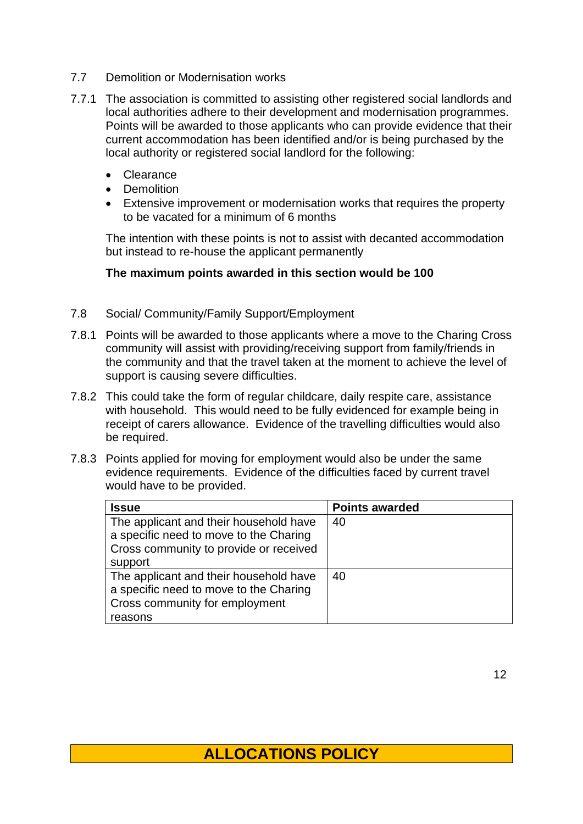- 7.7 Demolition or Modernisation works
- 7.7.1 The association is committed to assisting other registered social landlords and local authorities adhere to their development and modernisation programmes. Points will be awarded to those applicants who can provide evidence that their current accommodation has been identified and/or is being purchased by the local authority or registered social landlord for the following:
	- Clearance
	- Demolition
	- Extensive improvement or modernisation works that requires the property to be vacated for a minimum of 6 months

The intention with these points is not to assist with decanted accommodation but instead to re-house the applicant permanently

#### **The maximum points awarded in this section would be 100**

- 7.8 Social/ Community/Family Support/Employment
- 7.8.1 Points will be awarded to those applicants where a move to the Charing Cross community will assist with providing/receiving support from family/friends in the community and that the travel taken at the moment to achieve the level of support is causing severe difficulties.
- 7.8.2 This could take the form of regular childcare, daily respite care, assistance with household. This would need to be fully evidenced for example being in receipt of carers allowance. Evidence of the travelling difficulties would also be required.
- 7.8.3 Points applied for moving for employment would also be under the same evidence requirements. Evidence of the difficulties faced by current travel would have to be provided.

| <b>Issue</b>                           | <b>Points awarded</b> |
|----------------------------------------|-----------------------|
| The applicant and their household have | 40                    |
| a specific need to move to the Charing |                       |
| Cross community to provide or received |                       |
| support                                |                       |
| The applicant and their household have | 40                    |
| a specific need to move to the Charing |                       |
| Cross community for employment         |                       |
| reasons                                |                       |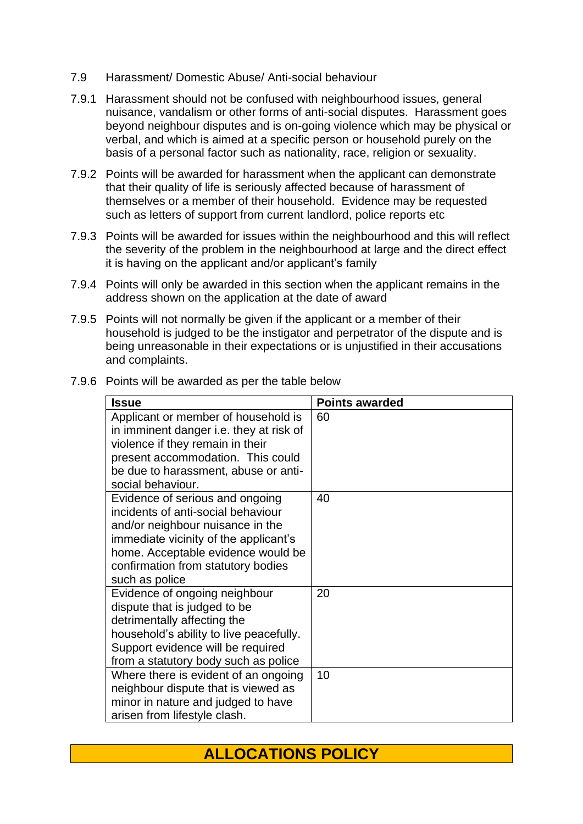- 7.9 Harassment/ Domestic Abuse/ Anti-social behaviour
- 7.9.1 Harassment should not be confused with neighbourhood issues, general nuisance, vandalism or other forms of anti-social disputes. Harassment goes beyond neighbour disputes and is on-going violence which may be physical or verbal, and which is aimed at a specific person or household purely on the basis of a personal factor such as nationality, race, religion or sexuality.
- 7.9.2 Points will be awarded for harassment when the applicant can demonstrate that their quality of life is seriously affected because of harassment of themselves or a member of their household. Evidence may be requested such as letters of support from current landlord, police reports etc
- 7.9.3 Points will be awarded for issues within the neighbourhood and this will reflect the severity of the problem in the neighbourhood at large and the direct effect it is having on the applicant and/or applicant's family
- 7.9.4 Points will only be awarded in this section when the applicant remains in the address shown on the application at the date of award
- 7.9.5 Points will not normally be given if the applicant or a member of their household is judged to be the instigator and perpetrator of the dispute and is being unreasonable in their expectations or is unjustified in their accusations and complaints.

| <b>Issue</b>                                                                                                                                                                                                                                     | <b>Points awarded</b> |
|--------------------------------------------------------------------------------------------------------------------------------------------------------------------------------------------------------------------------------------------------|-----------------------|
| Applicant or member of household is<br>in imminent danger i.e. they at risk of<br>violence if they remain in their<br>present accommodation. This could<br>be due to harassment, abuse or anti-<br>social behaviour.                             | 60                    |
| Evidence of serious and ongoing<br>incidents of anti-social behaviour<br>and/or neighbour nuisance in the<br>immediate vicinity of the applicant's<br>home. Acceptable evidence would be<br>confirmation from statutory bodies<br>such as police | 40                    |
| Evidence of ongoing neighbour<br>dispute that is judged to be<br>detrimentally affecting the<br>household's ability to live peacefully.<br>Support evidence will be required<br>from a statutory body such as police                             | 20                    |
| Where there is evident of an ongoing<br>neighbour dispute that is viewed as<br>minor in nature and judged to have<br>arisen from lifestyle clash.                                                                                                | 10                    |

7.9.6 Points will be awarded as per the table below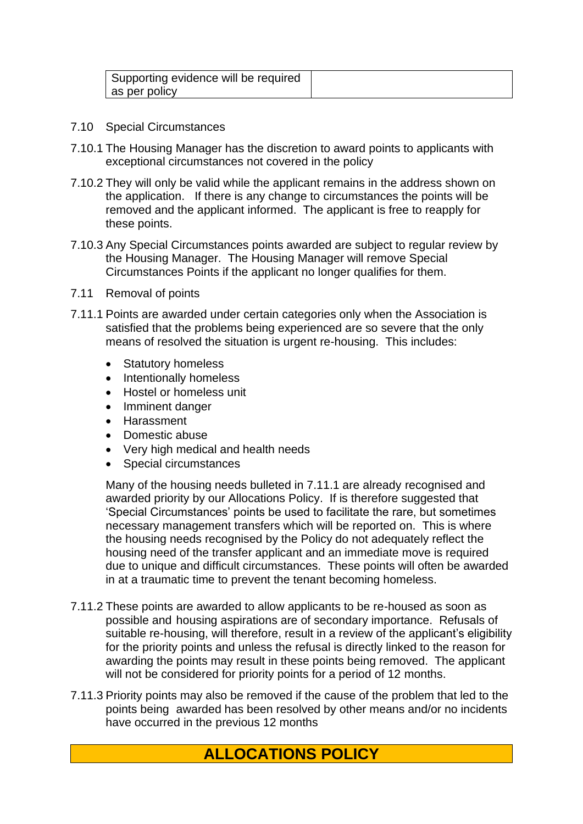| Supporting evidence will be required |  |
|--------------------------------------|--|
| as per policy                        |  |

- 7.10 Special Circumstances
- 7.10.1 The Housing Manager has the discretion to award points to applicants with exceptional circumstances not covered in the policy
- 7.10.2 They will only be valid while the applicant remains in the address shown on the application. If there is any change to circumstances the points will be removed and the applicant informed. The applicant is free to reapply for these points.
- 7.10.3 Any Special Circumstances points awarded are subject to regular review by the Housing Manager. The Housing Manager will remove Special Circumstances Points if the applicant no longer qualifies for them.
- 7.11 Removal of points
- 7.11.1 Points are awarded under certain categories only when the Association is satisfied that the problems being experienced are so severe that the only means of resolved the situation is urgent re-housing. This includes:
	- Statutory homeless
	- Intentionally homeless
	- Hostel or homeless unit
	- Imminent danger
	- Harassment
	- Domestic abuse
	- Very high medical and health needs
	- Special circumstances

Many of the housing needs bulleted in 7.11.1 are already recognised and awarded priority by our Allocations Policy. If is therefore suggested that 'Special Circumstances' points be used to facilitate the rare, but sometimes necessary management transfers which will be reported on. This is where the housing needs recognised by the Policy do not adequately reflect the housing need of the transfer applicant and an immediate move is required due to unique and difficult circumstances. These points will often be awarded in at a traumatic time to prevent the tenant becoming homeless.

- 7.11.2 These points are awarded to allow applicants to be re-housed as soon as possible and housing aspirations are of secondary importance. Refusals of suitable re-housing, will therefore, result in a review of the applicant's eligibility for the priority points and unless the refusal is directly linked to the reason for awarding the points may result in these points being removed. The applicant will not be considered for priority points for a period of 12 months.
- 7.11.3 Priority points may also be removed if the cause of the problem that led to the points being awarded has been resolved by other means and/or no incidents have occurred in the previous 12 months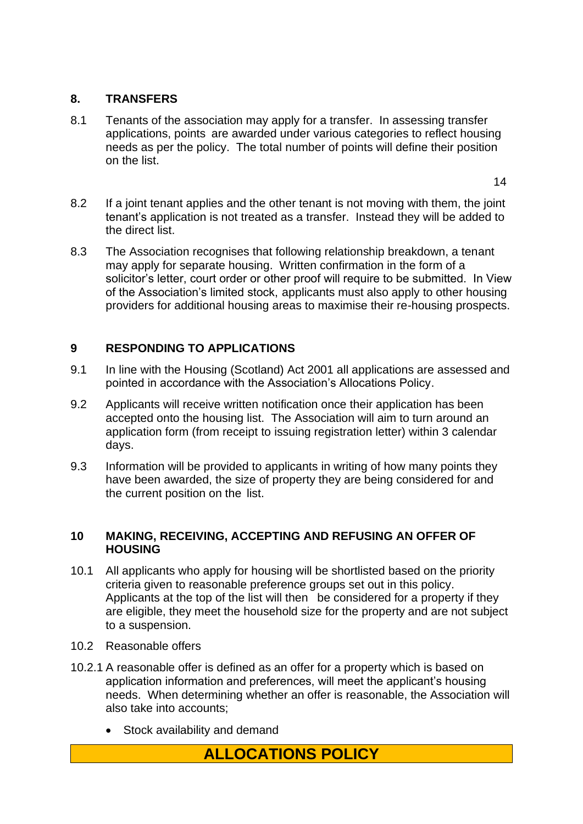#### **8. TRANSFERS**

8.1 Tenants of the association may apply for a transfer. In assessing transfer applications, points are awarded under various categories to reflect housing needs as per the policy. The total number of points will define their position on the list.

14

- 8.2 If a joint tenant applies and the other tenant is not moving with them, the joint tenant's application is not treated as a transfer. Instead they will be added to the direct list.
- 8.3 The Association recognises that following relationship breakdown, a tenant may apply for separate housing. Written confirmation in the form of a solicitor's letter, court order or other proof will require to be submitted. In View of the Association's limited stock, applicants must also apply to other housing providers for additional housing areas to maximise their re-housing prospects.

## **9 RESPONDING TO APPLICATIONS**

- 9.1 In line with the Housing (Scotland) Act 2001 all applications are assessed and pointed in accordance with the Association's Allocations Policy.
- 9.2 Applicants will receive written notification once their application has been accepted onto the housing list. The Association will aim to turn around an application form (from receipt to issuing registration letter) within 3 calendar days.
- 9.3 Information will be provided to applicants in writing of how many points they have been awarded, the size of property they are being considered for and the current position on the list.

#### **10 MAKING, RECEIVING, ACCEPTING AND REFUSING AN OFFER OF HOUSING**

- 10.1 All applicants who apply for housing will be shortlisted based on the priority criteria given to reasonable preference groups set out in this policy. Applicants at the top of the list will then be considered for a property if they are eligible, they meet the household size for the property and are not subject to a suspension.
- 10.2 Reasonable offers
- 10.2.1 A reasonable offer is defined as an offer for a property which is based on application information and preferences, will meet the applicant's housing needs. When determining whether an offer is reasonable, the Association will also take into accounts;
	- Stock availability and demand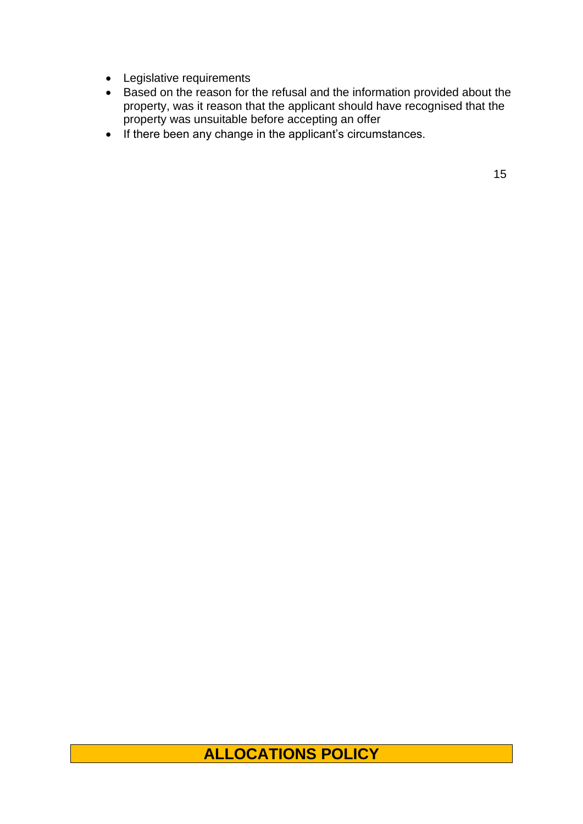- Legislative requirements
- Based on the reason for the refusal and the information provided about the property, was it reason that the applicant should have recognised that the property was unsuitable before accepting an offer
- If there been any change in the applicant's circumstances.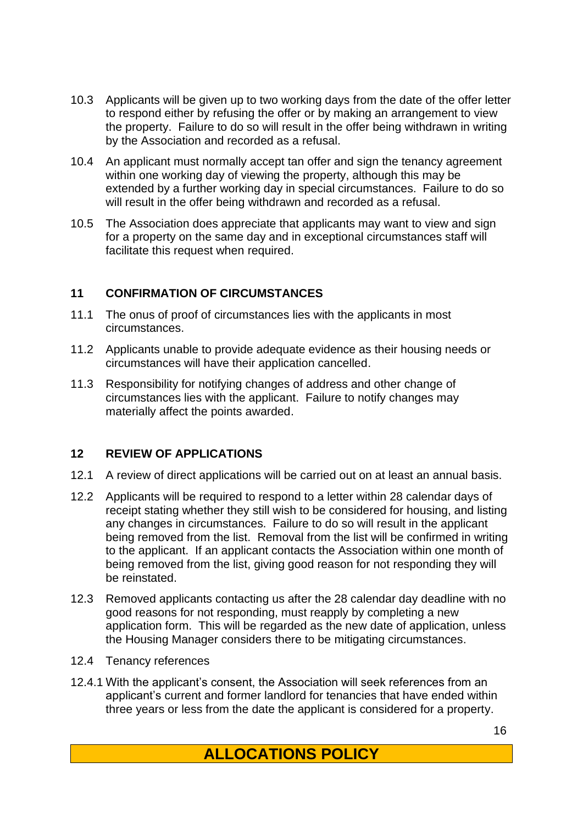- 10.3 Applicants will be given up to two working days from the date of the offer letter to respond either by refusing the offer or by making an arrangement to view the property. Failure to do so will result in the offer being withdrawn in writing by the Association and recorded as a refusal.
- 10.4 An applicant must normally accept tan offer and sign the tenancy agreement within one working day of viewing the property, although this may be extended by a further working day in special circumstances. Failure to do so will result in the offer being withdrawn and recorded as a refusal.
- 10.5 The Association does appreciate that applicants may want to view and sign for a property on the same day and in exceptional circumstances staff will facilitate this request when required.

#### **11 CONFIRMATION OF CIRCUMSTANCES**

- 11.1 The onus of proof of circumstances lies with the applicants in most circumstances.
- 11.2 Applicants unable to provide adequate evidence as their housing needs or circumstances will have their application cancelled.
- 11.3 Responsibility for notifying changes of address and other change of circumstances lies with the applicant. Failure to notify changes may materially affect the points awarded.

#### **12 REVIEW OF APPLICATIONS**

- 12.1 A review of direct applications will be carried out on at least an annual basis.
- 12.2 Applicants will be required to respond to a letter within 28 calendar days of receipt stating whether they still wish to be considered for housing, and listing any changes in circumstances. Failure to do so will result in the applicant being removed from the list. Removal from the list will be confirmed in writing to the applicant. If an applicant contacts the Association within one month of being removed from the list, giving good reason for not responding they will be reinstated.
- 12.3 Removed applicants contacting us after the 28 calendar day deadline with no good reasons for not responding, must reapply by completing a new application form. This will be regarded as the new date of application, unless the Housing Manager considers there to be mitigating circumstances.
- 12.4 Tenancy references
- 12.4.1 With the applicant's consent, the Association will seek references from an applicant's current and former landlord for tenancies that have ended within three years or less from the date the applicant is considered for a property.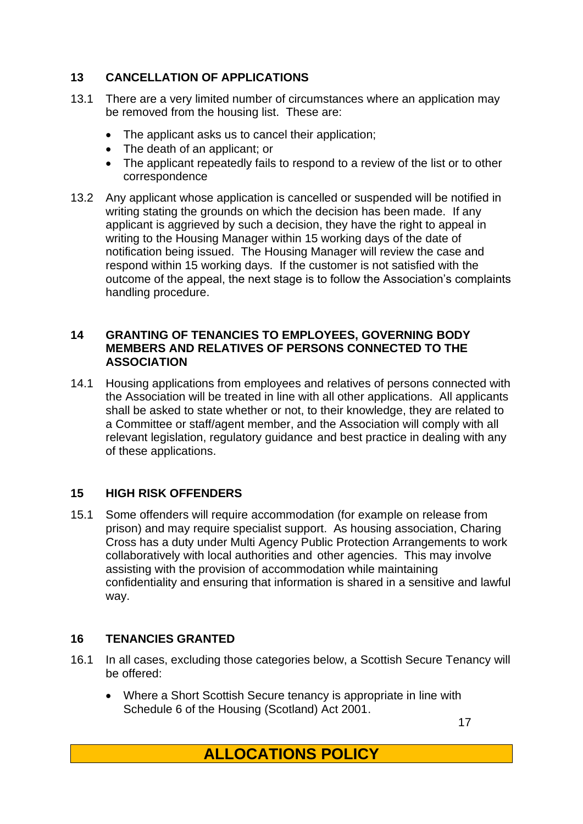## **13 CANCELLATION OF APPLICATIONS**

- 13.1 There are a very limited number of circumstances where an application may be removed from the housing list. These are:
	- The applicant asks us to cancel their application;
	- The death of an applicant; or
	- The applicant repeatedly fails to respond to a review of the list or to other correspondence
- 13.2 Any applicant whose application is cancelled or suspended will be notified in writing stating the grounds on which the decision has been made. If any applicant is aggrieved by such a decision, they have the right to appeal in writing to the Housing Manager within 15 working days of the date of notification being issued. The Housing Manager will review the case and respond within 15 working days. If the customer is not satisfied with the outcome of the appeal, the next stage is to follow the Association's complaints handling procedure.

#### **14 GRANTING OF TENANCIES TO EMPLOYEES, GOVERNING BODY MEMBERS AND RELATIVES OF PERSONS CONNECTED TO THE ASSOCIATION**

14.1 Housing applications from employees and relatives of persons connected with the Association will be treated in line with all other applications. All applicants shall be asked to state whether or not, to their knowledge, they are related to a Committee or staff/agent member, and the Association will comply with all relevant legislation, regulatory guidance and best practice in dealing with any of these applications.

# **15 HIGH RISK OFFENDERS**

15.1 Some offenders will require accommodation (for example on release from prison) and may require specialist support. As housing association, Charing Cross has a duty under Multi Agency Public Protection Arrangements to work collaboratively with local authorities and other agencies. This may involve assisting with the provision of accommodation while maintaining confidentiality and ensuring that information is shared in a sensitive and lawful way.

#### **16 TENANCIES GRANTED**

- 16.1 In all cases, excluding those categories below, a Scottish Secure Tenancy will be offered:
	- Where a Short Scottish Secure tenancy is appropriate in line with Schedule 6 of the Housing (Scotland) Act 2001.

17